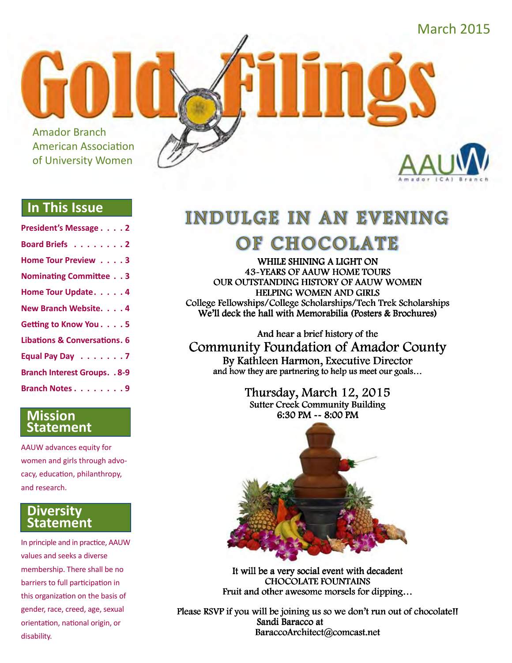March 2015

Amador Branch American Association of University Women

#### **In This Issue**

| President's Message 2                   |
|-----------------------------------------|
| Board Briefs 2                          |
| Home Tour Preview 3                     |
| <b>Nominating Committee 3</b>           |
| Home Tour Update. 4                     |
| New Branch Website. 4                   |
| Getting to Know You. 5                  |
| <b>Libations &amp; Conversations. 6</b> |
| Equal Pay Day 7                         |
| <b>Branch Interest Groups. . 8-9</b>    |
| Branch Notes 9                          |

#### **Mission Statement**

AAUW advances equity for women and girls through advocacy, education, philanthropy, and research.

#### **Diversity Statement**

In principle and in practice, AAUW values and seeks a diverse membership. There shall be no barriers to full participation in this organization on the basis of gender, race, creed, age, sexual orientation, national origin, or disability.

# **INDULGE IN AN EVENING** OF CHOCOLATE

WHILE SHINING A LIGHT ON **43-YEARS OF AAUW HOME TOURS** OUR OUTSTANDING HISTORY OF AAUW WOMEN HELPING WOMEN AND GIRLS College Fellowships/College Scholarships/Tech Trek Scholarships We'll deck the hall with Memorabilia (Posters & Brochures)

And hear a brief history of the **Community Foundation of Amador County** By Kathleen Harmon, Executive Director<br>and how they are partnering to help us meet our goals...

> Thursday, March 12, 2015 Sutter Creek Community Building 6:30 PM  $\sim$  8:00 PM



It will be a very social event with decadent **CHOCOLATE FOUNTAINS** Fruit and other awesome morsels for dipping...

Please RSVP if you will be joining us so we don't run out of chocolate!! Sandi Baracco at BaraccoArchitect@comcast.net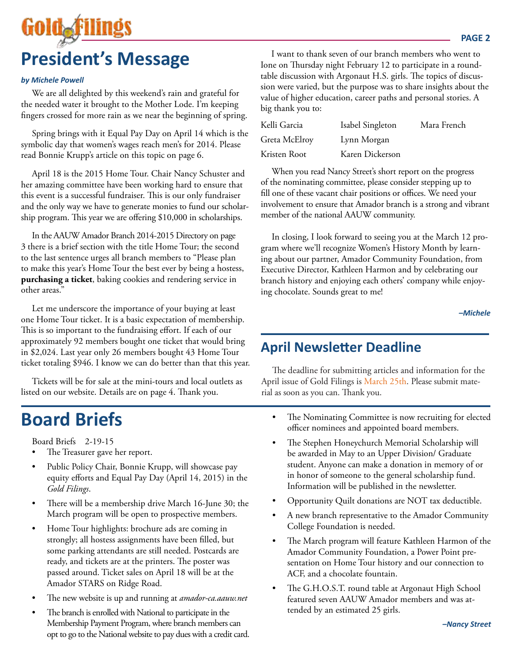

#### *by Michele Powell*

We are all delighted by this weekend's rain and grateful for the needed water it brought to the Mother Lode. I'm keeping fingers crossed for more rain as we near the beginning of spring.

Spring brings with it Equal Pay Day on April 14 which is the symbolic day that women's wages reach men's for 2014. Please read Bonnie Krupp's article on this topic on page 6.

April 18 is the 2015 Home Tour. Chair Nancy Schuster and her amazing committee have been working hard to ensure that this event is a successful fundraiser. This is our only fundraiser and the only way we have to generate monies to fund our scholarship program. This year we are offering \$10,000 in scholarships.

In the AAUW Amador Branch 2014-2015 Directory on page 3 there is a brief section with the title Home Tour; the second to the last sentence urges all branch members to "Please plan to make this year's Home Tour the best ever by being a hostess, **purchasing a ticket**, baking cookies and rendering service in other areas."

Let me underscore the importance of your buying at least one Home Tour ticket. It is a basic expectation of membership. This is so important to the fundraising effort. If each of our approximately 92 members bought one ticket that would bring in \$2,024. Last year only 26 members bought 43 Home Tour ticket totaling \$946. I know we can do better than that this year.

Tickets will be for sale at the mini-tours and local outlets as listed on our website. Details are on page 4. Thank you.

# **Board Briefs**

Board Briefs 2-19-15

- The Treasurer gave her report.
- Public Policy Chair, Bonnie Krupp, will showcase pay equity efforts and Equal Pay Day (April 14, 2015) in the *Gold Filings*.
- There will be a membership drive March 16-June 30; the March program will be open to prospective members.
- Home Tour highlights: brochure ads are coming in strongly; all hostess assignments have been filled, but some parking attendants are still needed. Postcards are ready, and tickets are at the printers. The poster was passed around. Ticket sales on April 18 will be at the Amador STARS on Ridge Road.
- The new website is up and running at *amador-ca.aauw.net*
- The branch is enrolled with National to participate in the Membership Payment Program, where branch members can opt to go to the National website to pay dues with a credit card.

I want to thank seven of our branch members who went to Ione on Thursday night February 12 to participate in a roundtable discussion with Argonaut H.S. girls. The topics of discussion were varied, but the purpose was to share insights about the value of higher education, career paths and personal stories. A big thank you to:

| Kelli Garcia  | Isabel Singleton | Mara French |
|---------------|------------------|-------------|
| Greta McElroy | Lynn Morgan      |             |
| Kristen Root  | Karen Dickerson  |             |

When you read Nancy Street's short report on the progress of the nominating committee, please consider stepping up to fill one of these vacant chair positions or offices. We need your involvement to ensure that Amador branch is a strong and vibrant member of the national AAUW community.

In closing, I look forward to seeing you at the March 12 program where we'll recognize Women's History Month by learning about our partner, Amador Community Foundation, from Executive Director, Kathleen Harmon and by celebrating our branch history and enjoying each others' company while enjoying chocolate. Sounds great to me!

*–Michele*

## **April Newsletter Deadline**

The deadline for submitting articles and information for the April issue of Gold Filings is March 25th. Please submit material as soon as you can. Thank you.

- The Nominating Committee is now recruiting for elected officer nominees and appointed board members.
- The Stephen Honeychurch Memorial Scholarship will be awarded in May to an Upper Division/ Graduate student. Anyone can make a donation in memory of or in honor of someone to the general scholarship fund. Information will be published in the newsletter.
- Opportunity Quilt donations are NOT tax deductible.
- A new branch representative to the Amador Community College Foundation is needed.
- The March program will feature Kathleen Harmon of the Amador Community Foundation, a Power Point presentation on Home Tour history and our connection to ACF, and a chocolate fountain.
- The G.H.O.S.T. round table at Argonaut High School featured seven AAUW Amador members and was attended by an estimated 25 girls.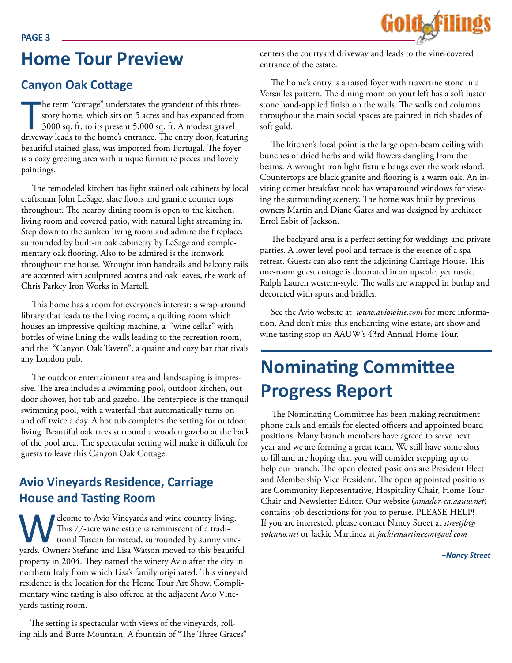

# **Home Tour Preview**

## **Canyon Oak Cottage**

he term "cottage" understates the grandeur of this three-<br>story home, which sits on 5 acres and has expanded from<br>3000 sq. ft. to its present 5,000 sq. ft. A modest gravel<br>driveway leads to the home's entrance. The entry d he term "cottage" understates the grandeur of this threestory home, which sits on 5 acres and has expanded from 3000 sq. ft. to its present 5,000 sq. ft. A modest gravel beautiful stained glass, was imported from Portugal. The foyer is a cozy greeting area with unique furniture pieces and lovely paintings.

The remodeled kitchen has light stained oak cabinets by local craftsman John LeSage, slate floors and granite counter tops throughout. The nearby dining room is open to the kitchen, living room and covered patio, with natural light streaming in. Step down to the sunken living room and admire the fireplace, surrounded by built-in oak cabinetry by LeSage and complementary oak flooring. Also to be admired is the ironwork throughout the house. Wrought iron handrails and balcony rails are accented with sculptured acorns and oak leaves, the work of Chris Parkey Iron Works in Martell.

This home has a room for everyone's interest: a wrap-around library that leads to the living room, a quilting room which houses an impressive quilting machine, a "wine cellar" with bottles of wine lining the walls leading to the recreation room, and the "Canyon Oak Tavern", a quaint and cozy bar that rivals any London pub.

The outdoor entertainment area and landscaping is impressive. The area includes a swimming pool, outdoor kitchen, outdoor shower, hot tub and gazebo. The centerpiece is the tranquil swimming pool, with a waterfall that automatically turns on and off twice a day. A hot tub completes the setting for outdoor living. Beautiful oak trees surround a wooden gazebo at the back of the pool area. The spectacular setting will make it difficult for guests to leave this Canyon Oak Cottage.

## **Avio Vineyards Residence, Carriage House and Tasting Room**

elcome to Avio Vineyards and wine country living. This 77-acre wine estate is reminiscent of a traditional Tuscan farmstead, surrounded by sunny vineyards. Owners Stefano and Lisa Watson moved to this beautiful property in 2004. They named the winery Avio after the city in northern Italy from which Lisa's family originated. This vineyard residence is the location for the Home Tour Art Show. Complimentary wine tasting is also offered at the adjacent Avio Vineyards tasting room.

The setting is spectacular with views of the vineyards, rolling hills and Butte Mountain. A fountain of "The Three Graces" centers the courtyard driveway and leads to the vine-covered entrance of the estate.

The home's entry is a raised foyer with travertine stone in a Versailles pattern. The dining room on your left has a soft luster stone hand-applied finish on the walls. The walls and columns throughout the main social spaces are painted in rich shades of soft gold.

The kitchen's focal point is the large open-beam ceiling with bunches of dried herbs and wild flowers dangling from the beams. A wrought iron light fixture hangs over the work island. Countertops are black granite and flooring is a warm oak. An inviting corner breakfast nook has wraparound windows for viewing the surrounding scenery. The home was built by previous owners Martin and Diane Gates and was designed by architect Errol Esbit of Jackson.

The backyard area is a perfect setting for weddings and private parties. A lower level pool and terrace is the essence of a spa retreat. Guests can also rent the adjoining Carriage House. This one-room guest cottage is decorated in an upscale, yet rustic, Ralph Lauren western-style. The walls are wrapped in burlap and decorated with spurs and bridles.

See the Avio website at *www.aviowine.com* for more information. And don't miss this enchanting wine estate, art show and wine tasting stop on AAUW's 43rd Annual Home Tour.

# **Nominating Committee Progress Report**

The Nominating Committee has been making recruitment phone calls and emails for elected officers and appointed board positions. Many branch members have agreed to serve next year and we are forming a great team. We still have some slots to fill and are hoping that you will consider stepping up to help our branch. The open elected positions are President Elect and Membership Vice President. The open appointed positions are Community Representative, Hospitality Chair, Home Tour Chair and Newsletter Editor. Our website (*amador-ca.aauw.net*) contains job descriptions for you to peruse. PLEASE HELP! If you are interested, please contact Nancy Street at *streetjb@ volcano.net* or Jackie Martinez at *jackiemartinezm@aol.com*

*–Nancy Street*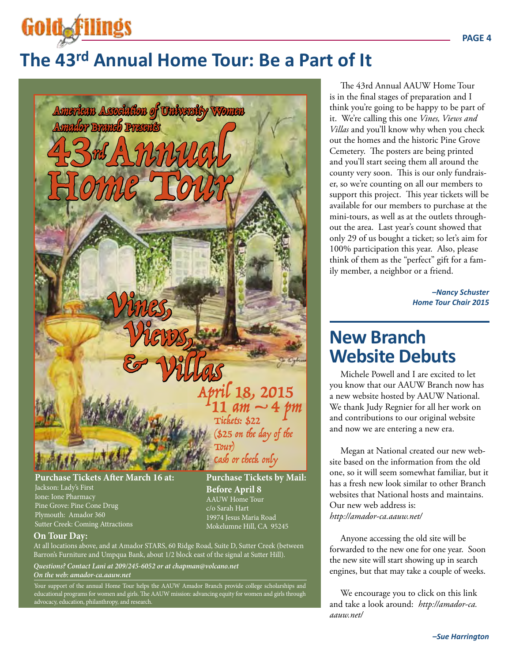# **The 43rd Annual Home Tour: Be a Part of It**



Jackson: Lady's First Ione: Ione Pharmacy Pine Grove: Pine Cone Drug Plymouth: Amador 360 Sutter Creek: Coming Attractions

#### **On Tour Day:**

Gold filing

At all locations above, and at Amador STARS, 60 Ridge Road, Suite D, Sutter Creek (between Barron's Furniture and Umpqua Bank, about 1/2 block east of the signal at Sutter Hill).

**Before April 8** AAUW Home Tour c/o Sarah Hart 19974 Jesus Maria Road Mokelumne Hill, CA 95245

*Questions? Contact Lani at 209/245-6052 or at chapman@volcano.net*

*On the web: amador-ca.aauw.net*

Your support of the annual Home Tour helps the AAUW Amador Branch provide college scholarships and educational programs for women and girls. The AAUW mission: advancing equity for women and girls through advocacy, education, philanthropy, and research.

The 43rd Annual AAUW Home Tour is in the final stages of preparation and I think you're going to be happy to be part of it. We're calling this one *Vines, Views and Villas* and you'll know why when you check out the homes and the historic Pine Grove Cemetery. The posters are being printed and you'll start seeing them all around the county very soon. This is our only fundraiser, so we're counting on all our members to support this project. This year tickets will be available for our members to purchase at the mini-tours, as well as at the outlets throughout the area. Last year's count showed that only 29 of us bought a ticket; so let's aim for 100% participation this year. Also, please think of them as the "perfect" gift for a family member, a neighbor or a friend.

> *–Nancy Schuster Home Tour Chair 2015*

# **New Branch Website Debuts**

Michele Powell and I are excited to let you know that our AAUW Branch now has a new website hosted by AAUW National. We thank Judy Regnier for all her work on and contributions to our original website and now we are entering a new era.

Megan at National created our new website based on the information from the old one, so it will seem somewhat familiar, but it has a fresh new look similar to other Branch websites that National hosts and maintains. Our new web address is: *http://amador-ca.aauw.net/* 

Anyone accessing the old site will be forwarded to the new one for one year. Soon the new site will start showing up in search engines, but that may take a couple of weeks.

We encourage you to click on this link and take a look around: *http://amador-ca. aauw.net/*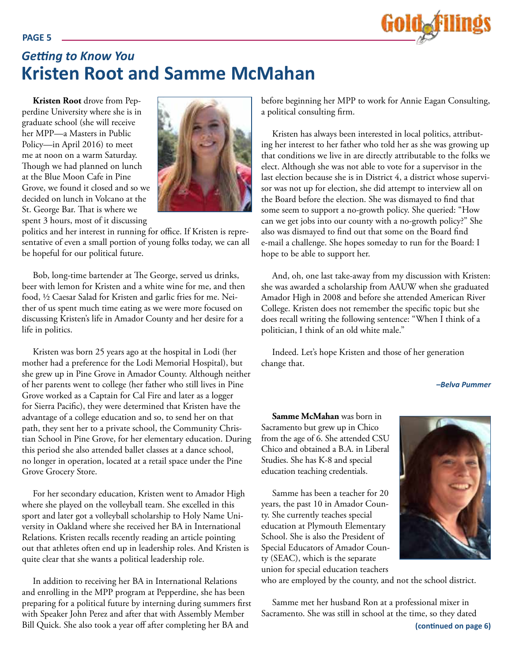

# *Getting to Know You* **Kristen Root and Samme McMahan**

**Kristen Root** drove from Pepperdine University where she is in graduate school (she will receive her MPP—a Masters in Public Policy—in April 2016) to meet me at noon on a warm Saturday. Though we had planned on lunch at the Blue Moon Cafe in Pine Grove, we found it closed and so we decided on lunch in Volcano at the St. George Bar. That is where we spent 3 hours, most of it discussing



politics and her interest in running for office. If Kristen is representative of even a small portion of young folks today, we can all be hopeful for our political future.

Bob, long-time bartender at The George, served us drinks, beer with lemon for Kristen and a white wine for me, and then food, ½ Caesar Salad for Kristen and garlic fries for me. Neither of us spent much time eating as we were more focused on discussing Kristen's life in Amador County and her desire for a life in politics.

Kristen was born 25 years ago at the hospital in Lodi (her mother had a preference for the Lodi Memorial Hospital), but she grew up in Pine Grove in Amador County. Although neither of her parents went to college (her father who still lives in Pine Grove worked as a Captain for Cal Fire and later as a logger for Sierra Pacific), they were determined that Kristen have the advantage of a college education and so, to send her on that path, they sent her to a private school, the Community Christian School in Pine Grove, for her elementary education. During this period she also attended ballet classes at a dance school, no longer in operation, located at a retail space under the Pine Grove Grocery Store.

For her secondary education, Kristen went to Amador High where she played on the volleyball team. She excelled in this sport and later got a volleyball scholarship to Holy Name University in Oakland where she received her BA in International Relations. Kristen recalls recently reading an article pointing out that athletes often end up in leadership roles. And Kristen is quite clear that she wants a political leadership role.

In addition to receiving her BA in International Relations and enrolling in the MPP program at Pepperdine, she has been preparing for a political future by interning during summers first with Speaker John Perez and after that with Assembly Member Bill Quick. She also took a year off after completing her BA and

before beginning her MPP to work for Annie Eagan Consulting, a political consulting firm.

Kristen has always been interested in local politics, attributing her interest to her father who told her as she was growing up that conditions we live in are directly attributable to the folks we elect. Although she was not able to vote for a supervisor in the last election because she is in District 4, a district whose supervisor was not up for election, she did attempt to interview all on the Board before the election. She was dismayed to find that some seem to support a no-growth policy. She queried: "How can we get jobs into our county with a no-growth policy?" She also was dismayed to find out that some on the Board find e-mail a challenge. She hopes someday to run for the Board: I hope to be able to support her.

And, oh, one last take-away from my discussion with Kristen: she was awarded a scholarship from AAUW when she graduated Amador High in 2008 and before she attended American River College. Kristen does not remember the specific topic but she does recall writing the following sentence: "When I think of a politician, I think of an old white male."

Indeed. Let's hope Kristen and those of her generation change that.

*–Belva Pummer*

**Samme McMahan** was born in Sacramento but grew up in Chico from the age of 6. She attended CSU Chico and obtained a B.A. in Liberal Studies. She has K-8 and special education teaching credentials.

Samme has been a teacher for 20 years, the past 10 in Amador County. She currently teaches special education at Plymouth Elementary School. She is also the President of Special Educators of Amador County (SEAC), which is the separate union for special education teachers

who are employed by the county, and not the school district.

Samme met her husband Ron at a professional mixer in Sacramento. She was still in school at the time, so they dated

#### **PAGE 5**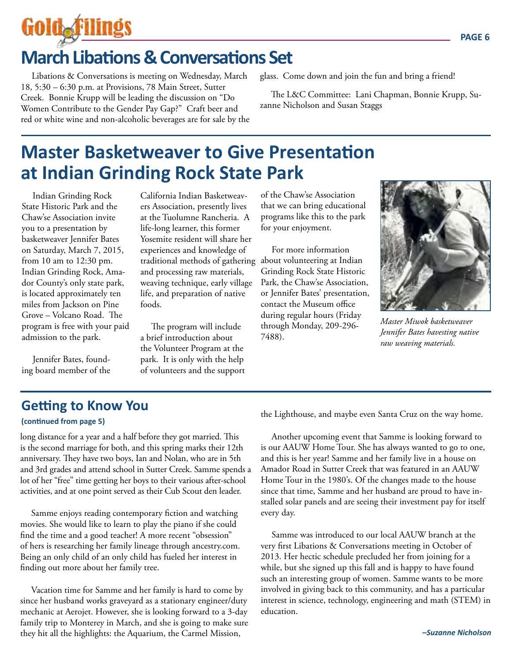# Goldaf

# **March Libations & Conversations Set**

Libations & Conversations is meeting on Wednesday, March 18, 5:30 – 6:30 p.m. at Provisions, 78 Main Street, Sutter Creek. Bonnie Krupp will be leading the discussion on "Do Women Contribute to the Gender Pay Gap?" Craft beer and red or white wine and non-alcoholic beverages are for sale by the glass. Come down and join the fun and bring a friend!

The L&C Committee: Lani Chapman, Bonnie Krupp, Suzanne Nicholson and Susan Staggs

# **Master Basketweaver to Give Presentation at Indian Grinding Rock State Park**

Indian Grinding Rock State Historic Park and the Chaw'se Association invite you to a presentation by basketweaver Jennifer Bates on Saturday, March 7, 2015, from 10 am to 12:30 pm. Indian Grinding Rock, Amador County's only state park, is located approximately ten miles from Jackson on Pine Grove – Volcano Road. The program is free with your paid admission to the park.

Jennifer Bates, founding board member of the California Indian Basketweavers Association, presently lives at the Tuolumne Rancheria. A life-long learner, this former Yosemite resident will share her experiences and knowledge of traditional methods of gathering about volunteering at Indian and processing raw materials, weaving technique, early village life, and preparation of native foods.

The program will include a brief introduction about the Volunteer Program at the park. It is only with the help of volunteers and the support of the Chaw'se Association that we can bring educational programs like this to the park for your enjoyment.

For more information Grinding Rock State Historic Park, the Chaw'se Association, or Jennifer Bates' presentation, contact the Museum office during regular hours (Friday through Monday, 209-296- 7488).



*Master Miwok basketweaver Jennifer Bates havesting native raw weaving materials.*

## **Getting to Know You**

#### **(continued from page 5)**

long distance for a year and a half before they got married. This is the second marriage for both, and this spring marks their 12th anniversary. They have two boys, Ian and Nolan, who are in 5th and 3rd grades and attend school in Sutter Creek. Samme spends a lot of her "free" time getting her boys to their various after-school activities, and at one point served as their Cub Scout den leader.

Samme enjoys reading contemporary fiction and watching movies. She would like to learn to play the piano if she could find the time and a good teacher! A more recent "obsession" of hers is researching her family lineage through ancestry.com. Being an only child of an only child has fueled her interest in finding out more about her family tree.

Vacation time for Samme and her family is hard to come by since her husband works graveyard as a stationary engineer/duty mechanic at Aerojet. However, she is looking forward to a 3-day family trip to Monterey in March, and she is going to make sure they hit all the highlights: the Aquarium, the Carmel Mission,

the Lighthouse, and maybe even Santa Cruz on the way home.

Another upcoming event that Samme is looking forward to is our AAUW Home Tour. She has always wanted to go to one, and this is her year! Samme and her family live in a house on Amador Road in Sutter Creek that was featured in an AAUW Home Tour in the 1980's. Of the changes made to the house since that time, Samme and her husband are proud to have installed solar panels and are seeing their investment pay for itself every day.

Samme was introduced to our local AAUW branch at the very first Libations & Conversations meeting in October of 2013. Her hectic schedule precluded her from joining for a while, but she signed up this fall and is happy to have found such an interesting group of women. Samme wants to be more involved in giving back to this community, and has a particular interest in science, technology, engineering and math (STEM) in education.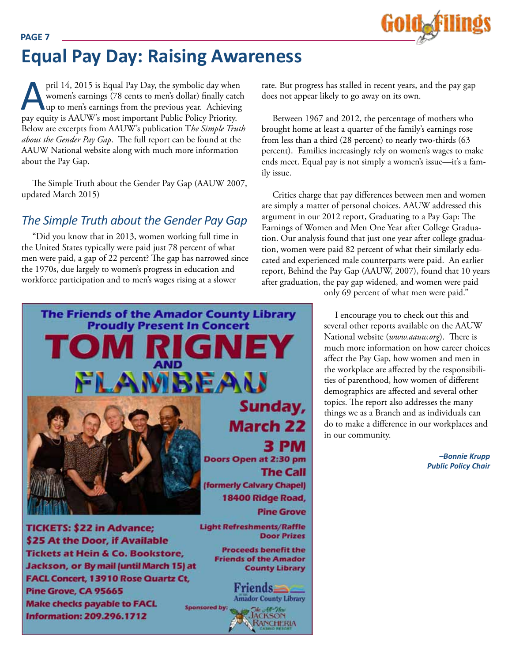

# **Equal Pay Day: Raising Awareness**

pril 14, 2015 is Equal Pay Day, the symbolic day when<br>women's earnings (78 cents to men's dollar) finally catch<br>up to men's earnings from the previous year. Achieving<br>pay equity is AAUW's most important Public Policy Prior women's earnings (78 cents to men's dollar) finally catch up to men's earnings from the previous year. Achieving pay equity is AAUW's most important Public Policy Priority. Below are excerpts from AAUW's publication T*he Simple Truth about the Gender Pay Gap*. The full report can be found at the AAUW National website along with much more information about the Pay Gap.

The Simple Truth about the Gender Pay Gap (AAUW 2007, updated March 2015)

#### *The Simple Truth about the Gender Pay Gap*

"Did you know that in 2013, women working full time in the United States typically were paid just 78 percent of what men were paid, a gap of 22 percent? The gap has narrowed since the 1970s, due largely to women's progress in education and workforce participation and to men's wages rising at a slower

rate. But progress has stalled in recent years, and the pay gap does not appear likely to go away on its own.

Between 1967 and 2012, the percentage of mothers who brought home at least a quarter of the family's earnings rose from less than a third (28 percent) to nearly two-thirds (63 percent). Families increasingly rely on women's wages to make ends meet. Equal pay is not simply a women's issue—it's a family issue.

Critics charge that pay differences between men and women are simply a matter of personal choices. AAUW addressed this argument in our 2012 report, Graduating to a Pay Gap: The Earnings of Women and Men One Year after College Graduation. Our analysis found that just one year after college graduation, women were paid 82 percent of what their similarly educated and experienced male counterparts were paid. An earlier report, Behind the Pay Gap (AAUW, 2007), found that 10 years after graduation, the pay gap widened, and women were paid



only 69 percent of what men were paid."

I encourage you to check out this and several other reports available on the AAUW National website (*www.aauw.org*). There is much more information on how career choices affect the Pay Gap, how women and men in the workplace are affected by the responsibilities of parenthood, how women of different demographics are affected and several other topics. The report also addresses the many things we as a Branch and as individuals can do to make a difference in our workplaces and in our community.

> *–Bonnie Krupp Public Policy Chair*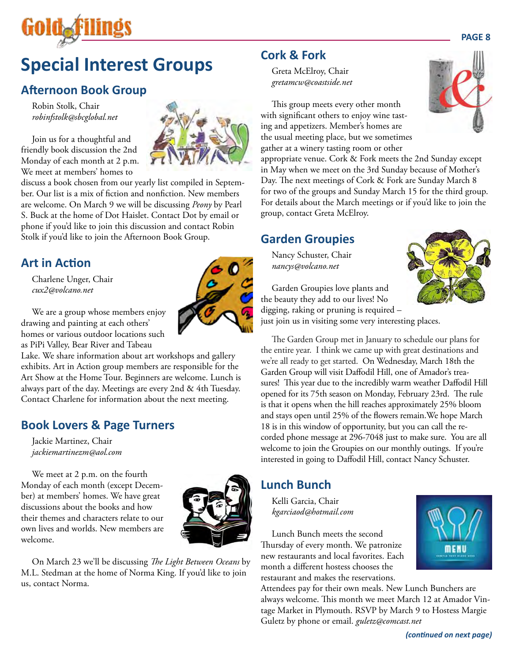

# **Special Interest Groups**

## **Afternoon Book Group**

Robin Stolk, Chair *robinfstolk@sbcglobal.net*

Join us for a thoughtful and friendly book discussion the 2nd Monday of each month at 2 p.m. We meet at members' homes to

discuss a book chosen from our yearly list compiled in September. Our list is a mix of fiction and nonfiction. New members are welcome. On March 9 we will be discussing *Peony* by Pearl S. Buck at the home of Dot Haislet. Contact Dot by email or phone if you'd like to join this discussion and contact Robin Stolk if you'd like to join the Afternoon Book Group.

## **Art in Action**

Charlene Unger, Chair *cux2@volcano.net*

We are a group whose members enjoy drawing and painting at each others' homes or various outdoor locations such as PiPi Valley, Bear River and Tabeau

Lake. We share information about art workshops and gallery exhibits. Art in Action group members are responsible for the Art Show at the Home Tour. Beginners are welcome. Lunch is always part of the day. Meetings are every 2nd & 4th Tuesday. Contact Charlene for information about the next meeting.

#### **Book Lovers & Page Turners**

Jackie Martinez, Chair *jackiemartinezm@aol.com*

We meet at 2 p.m. on the fourth Monday of each month (except December) at members' homes. We have great discussions about the books and how their themes and characters relate to our own lives and worlds. New members are welcome.



On March 23 we'll be discussing *The Light Between Oceans* by M.L. Stedman at the home of Norma King. If you'd like to join us, contact Norma.

#### **Cork & Fork**

Greta McElroy, Chair *gretamcw@coastside.net*

This group meets every other month with significant others to enjoy wine tasting and appetizers. Member's homes are the usual meeting place, but we sometimes gather at a winery tasting room or other

appropriate venue. Cork & Fork meets the 2nd Sunday except in May when we meet on the 3rd Sunday because of Mother's Day. The next meetings of Cork & Fork are Sunday March 8 for two of the groups and Sunday March 15 for the third group. For details about the March meetings or if you'd like to join the group, contact Greta McElroy.

#### **Garden Groupies**

Nancy Schuster, Chair *nancys@volcano.net*



Garden Groupies love plants and the beauty they add to our lives! No digging, raking or pruning is required –

just join us in visiting some very interesting places.

The Garden Group met in January to schedule our plans for the entire year. I think we came up with great destinations and we're all ready to get started. On Wednesday, March 18th the Garden Group will visit Daffodil Hill, one of Amador's treasures! This year due to the incredibly warm weather Daffodil Hill opened for its 75th season on Monday, February 23rd. The rule is that it opens when the hill reaches approximately 25% bloom and stays open until 25% of the flowers remain.We hope March 18 is in this window of opportunity, but you can call the recorded phone message at 296-7048 just to make sure. You are all welcome to join the Groupies on our monthly outings. If you're interested in going to Daffodil Hill, contact Nancy Schuster.

#### **Lunch Bunch**

Kelli Garcia, Chair *kgarciaod@hotmail.com*

Lunch Bunch meets the second Thursday of every month. We patronize new restaurants and local favorites. Each month a different hostess chooses the restaurant and makes the reservations.

Attendees pay for their own meals. New Lunch Bunchers are always welcome. This month we meet March 12 at Amador Vintage Market in Plymouth. RSVP by March 9 to Hostess Margie Guletz by phone or email. *guletz@comcast.net*



**MENU**